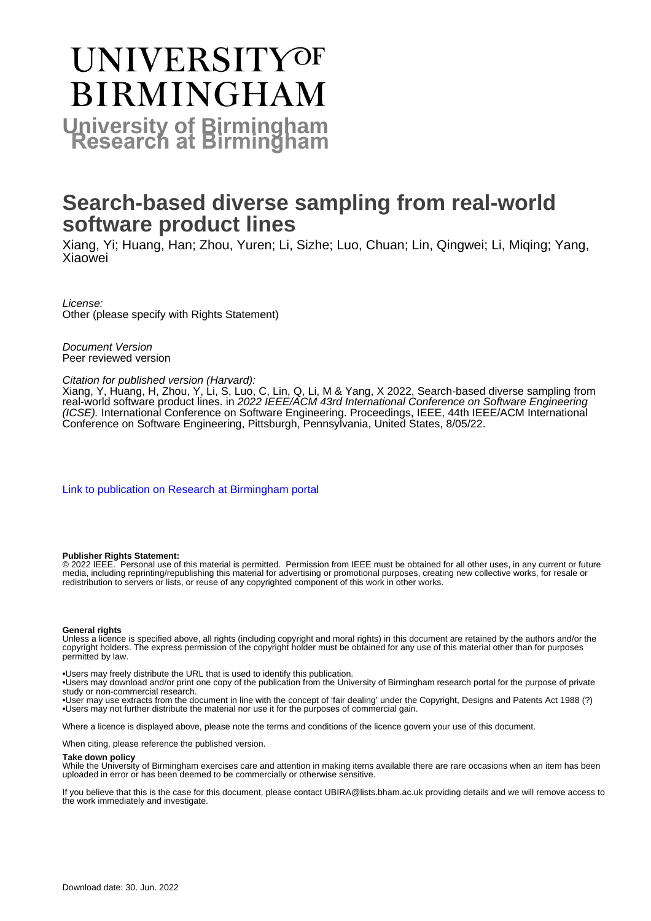# **UNIVERSITYOF BIRMINGHAM University of Birmingham**

# **Search-based diverse sampling from real-world software product lines**

Xiang, Yi; Huang, Han; Zhou, Yuren; Li, Sizhe; Luo, Chuan; Lin, Qingwei; Li, Miqing; Yang, Xiaowei

License: Other (please specify with Rights Statement)

Document Version Peer reviewed version

# Citation for published version (Harvard):

Xiang, Y, Huang, H, Zhou, Y, Li, S, Luo, C, Lin, Q, Li, M & Yang, X 2022, Search-based diverse sampling from real-world software product lines. in 2022 IEEE/ACM 43rd International Conference on Software Engineering (ICSE). International Conference on Software Engineering. Proceedings, IEEE, 44th IEEE/ACM International Conference on Software Engineering, Pittsburgh, Pennsylvania, United States, 8/05/22.

[Link to publication on Research at Birmingham portal](https://birmingham.elsevierpure.com/en/publications/bfb97f17-22c7-4959-8353-ac091566ef2c)

#### **Publisher Rights Statement:**

© 2022 IEEE. Personal use of this material is permitted. Permission from IEEE must be obtained for all other uses, in any current or future media, including reprinting/republishing this material for advertising or promotional purposes, creating new collective works, for resale or redistribution to servers or lists, or reuse of any copyrighted component of this work in other works.

#### **General rights**

Unless a licence is specified above, all rights (including copyright and moral rights) in this document are retained by the authors and/or the copyright holders. The express permission of the copyright holder must be obtained for any use of this material other than for purposes permitted by law.

• Users may freely distribute the URL that is used to identify this publication.

• Users may download and/or print one copy of the publication from the University of Birmingham research portal for the purpose of private study or non-commercial research.

• User may use extracts from the document in line with the concept of 'fair dealing' under the Copyright, Designs and Patents Act 1988 (?) • Users may not further distribute the material nor use it for the purposes of commercial gain.

Where a licence is displayed above, please note the terms and conditions of the licence govern your use of this document.

When citing, please reference the published version.

#### **Take down policy**

While the University of Birmingham exercises care and attention in making items available there are rare occasions when an item has been uploaded in error or has been deemed to be commercially or otherwise sensitive.

If you believe that this is the case for this document, please contact UBIRA@lists.bham.ac.uk providing details and we will remove access to the work immediately and investigate.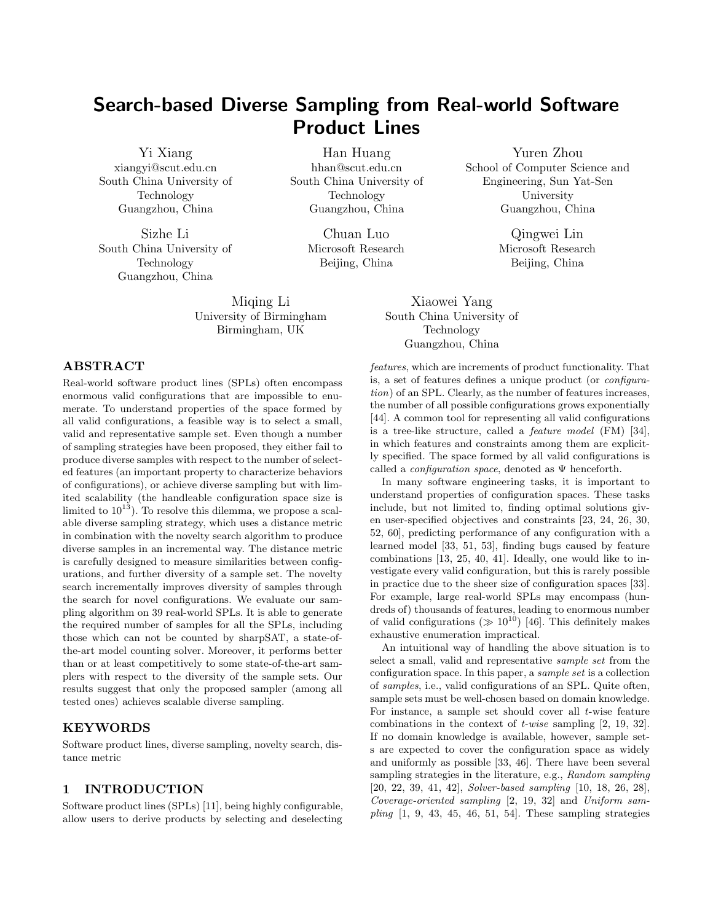# **Search-based Diverse Sampling from Real-world Software Product Lines**

[Yi Xiang](https://orcid.org/1234-5678-9012) xiangyi@scut.edu.cn South China University of Technology Guangzhou, China

Sizhe Li South China University of Technology Guangzhou, China

> Miqing Li University of Birmingham Birmingham, UK

Han Huang hhan@scut.edu.cn South China University of Technology Guangzhou, China

> Chuan Luo Microsoft Research Beijing, China

Yuren Zhou School of Computer Science and Engineering, Sun Yat-Sen University Guangzhou, China

> Qingwei Lin Microsoft Research Beijing, China

Xiaowei Yang South China University of Technology Guangzhou, China

# *features*, which are increments of product functionality. That is, a set of features defines a unique product (or *configuration*) of an SPL. Clearly, as the number of features increases, the number of all possible configurations grows exponentially [[44\]](#page-12-0). A common tool for representing all valid configurations is a tree-like structure, called a *feature model* (FM) [[34](#page-11-1)], in which features and constraints among them are explicitly specified. The space formed by all valid configurations is called a *configuration space*, denoted as Ψ henceforth.

In many software engineering tasks, it is important to understand properties of configuration spaces. These tasks include, but not limited to, finding optimal solutions given user-specified objectives and constraints [[23](#page-11-2), [24,](#page-11-3) [26](#page-11-4), [30,](#page-11-5) [52](#page-12-1), [60](#page-12-2)], predicting performance of any configuration with a learned model [[33](#page-11-6), [51,](#page-12-3) [53\]](#page-12-4), finding bugs caused by feature combinations [\[13](#page-11-7), [25,](#page-11-8) [40](#page-12-5), [41](#page-12-6)]. Ideally, one would like to investigate every valid configuration, but this is rarely possible in practice due to the sheer size of configuration spaces [[33](#page-11-6)]. For example, large real-world SPLs may encompass (hundreds of) thousands of features, leading to enormous number of valid configurations  $(\gg 10^{10})$  [[46](#page-12-7)]. This definitely makes exhaustive enumeration impractical.

An intuitional way of handling the above situation is to select a small, valid and representative *sample set* from the configuration space. In this paper, a *sample set* is a collection of *samples*, i.e., valid configurations of an SPL. Quite often, sample sets must be well-chosen based on domain knowledge. For instance, a sample set should cover all *t*-wise feature combinations in the context of *t-wise* sampling [\[2](#page-10-0), [19,](#page-11-9) [32](#page-11-10)]. If no domain knowledge is available, however, sample sets are expected to cover the configuration space as widely and uniformly as possible [[33,](#page-11-6) [46\]](#page-12-7). There have been several sampling strategies in the literature, e.g., *Random sampling* [[20,](#page-11-11) [22](#page-11-12), [39](#page-12-8), [41,](#page-12-6) [42\]](#page-12-9), *Solver-based sampling* [[10,](#page-11-13) [18,](#page-11-14) [26](#page-11-4), [28](#page-11-15)], *Coverage-oriented sampling* [\[2](#page-10-0), [19](#page-11-9), [32](#page-11-10)] and *Uniform sampling* [\[1,](#page-10-1) [9](#page-11-16), [43](#page-12-10), [45,](#page-12-11) [46,](#page-12-7) [51](#page-12-3), [54](#page-12-12)]. These sampling strategies

# **ABSTRACT**

Real-world software product lines (SPLs) often encompass enormous valid configurations that are impossible to enumerate. To understand properties of the space formed by all valid configurations, a feasible way is to select a small, valid and representative sample set. Even though a number of sampling strategies have been proposed, they either fail to produce diverse samples with respect to the number of selected features (an important property to characterize behaviors of configurations), or achieve diverse sampling but with limited scalability (the handleable configuration space size is limited to  $10^{13}$ ). To resolve this dilemma, we propose a scalable diverse sampling strategy, which uses a distance metric in combination with the novelty search algorithm to produce diverse samples in an incremental way. The distance metric is carefully designed to measure similarities between configurations, and further diversity of a sample set. The novelty search incrementally improves diversity of samples through the search for novel configurations. We evaluate our sampling algorithm on 39 real-world SPLs. It is able to generate the required number of samples for all the SPLs, including those which can not be counted by sharpSAT, a state-ofthe-art model counting solver. Moreover, it performs better than or at least competitively to some state-of-the-art samplers with respect to the diversity of the sample sets. Our results suggest that only the proposed sampler (among all tested ones) achieves scalable diverse sampling.

# **KEYWORDS**

Software product lines, diverse sampling, novelty search, distance metric

# <span id="page-1-0"></span>**1 INTRODUCTION**

Software product lines (SPLs) [[11\]](#page-11-0), being highly configurable, allow users to derive products by selecting and deselecting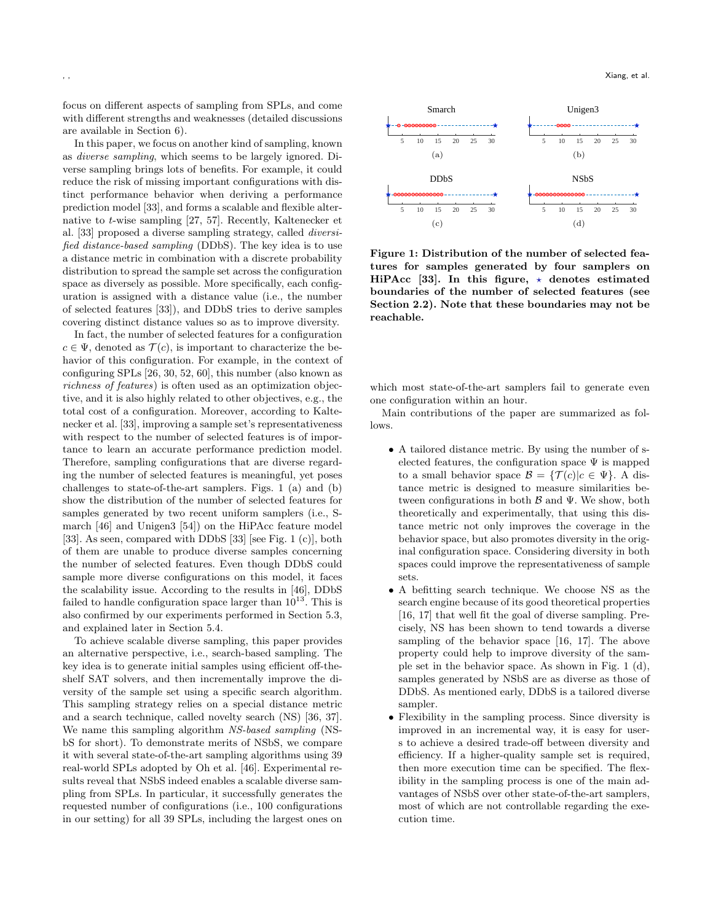focus on different aspects of sampling from SPLs, and come with different strengths and weaknesses (detailed discussions are available in Section [6\)](#page-9-0).

In this paper, we focus on another kind of sampling, known as *diverse sampling*, which seems to be largely ignored. Diverse sampling brings lots of benefits. For example, it could reduce the risk of missing important configurations with distinct performance behavior when deriving a performance prediction model [[33\]](#page-11-6), and forms a scalable and flexible alternative to *t*-wise sampling [\[27](#page-11-17), [57\]](#page-12-13). Recently, Kaltenecker et al. [\[33](#page-11-6)] proposed a diverse sampling strategy, called *diversified distance-based sampling* (DDbS). The key idea is to use a distance metric in combination with a discrete probability distribution to spread the sample set across the configuration space as diversely as possible. More specifically, each configuration is assigned with a distance value (i.e., the number of selected features [\[33\]](#page-11-6)), and DDbS tries to derive samples covering distinct distance values so as to improve diversity.

In fact, the number of selected features for a configuration  $c \in \Psi$ , denoted as  $\mathcal{T}(c)$ , is important to characterize the behavior of this configuration. For example, in the context of configuring SPLs [\[26,](#page-11-4) [30,](#page-11-5) [52](#page-12-1), [60](#page-12-2)], this number (also known as *richness of features*) is often used as an optimization objective, and it is also highly related to other objectives, e.g., the total cost of a configuration. Moreover, according to Kaltenecker et al. [[33\]](#page-11-6), improving a sample set's representativeness with respect to the number of selected features is of importance to learn an accurate performance prediction model. Therefore, sampling configurations that are diverse regarding the number of selected features is meaningful, yet poses challenges to state-of-the-art samplers. Figs. [1](#page-2-0) (a) and (b) show the distribution of the number of selected features for samples generated by two recent uniform samplers (i.e., Smarch [[46\]](#page-12-7) and Unigen3 [[54](#page-12-12)]) on the HiPAcc feature model [\[33\]](#page-11-6). As seen, compared with DDbS [[33\]](#page-11-6) [see Fig. [1](#page-2-0) (c)], both of them are unable to produce diverse samples concerning the number of selected features. Even though DDbS could sample more diverse configurations on this model, it faces the scalability issue. According to the results in [\[46](#page-12-7)], DDbS failed to handle configuration space larger than  $10^{13}$ . This is also confirmed by our experiments performed in Section [5.3](#page-7-0), and explained later in Section [5.4](#page-8-0).

To achieve scalable diverse sampling, this paper provides an alternative perspective, i.e., search-based sampling. The key idea is to generate initial samples using efficient off-theshelf SAT solvers, and then incrementally improve the diversity of the sample set using a specific search algorithm. This sampling strategy relies on a special distance metric and a search technique, called novelty search (NS) [[36,](#page-11-18) [37\]](#page-11-19). We name this sampling algorithm *NS-based sampling* (NSbS for short). To demonstrate merits of NSbS, we compare it with several state-of-the-art sampling algorithms using 39 real-world SPLs adopted by Oh et al. [[46](#page-12-7)]. Experimental results reveal that NSbS indeed enables a scalable diverse sampling from SPLs. In particular, it successfully generates the requested number of configurations (i.e., 100 configurations in our setting) for all 39 SPLs, including the largest ones on

<span id="page-2-0"></span>

**Figure 1: Distribution of the number of selected features for samples generated by four samplers on HiPAcc** [\[33\]](#page-11-6). In this figure,  $\star$  denotes estimated **boundaries of the number of selected features (see Section [2.2](#page-3-0)). Note that these boundaries may not be reachable.**

which most state-of-the-art samplers fail to generate even one configuration within an hour.

Main contributions of the paper are summarized as follows.

- *•* A tailored distance metric. By using the number of selected features, the configuration space  $\Psi$  is mapped to a small behavior space  $\mathcal{B} = {\mathcal{T}(c)|c \in \Psi}$ . A distance metric is designed to measure similarities between configurations in both *B* and Ψ. We show, both theoretically and experimentally, that using this distance metric not only improves the coverage in the behavior space, but also promotes diversity in the original configuration space. Considering diversity in both spaces could improve the representativeness of sample sets.
- *•* A befitting search technique. We choose NS as the search engine because of its good theoretical properties [[16](#page-11-20), [17\]](#page-11-21) that well fit the goal of diverse sampling. Precisely, NS has been shown to tend towards a diverse sampling of the behavior space [[16,](#page-11-20) [17](#page-11-21)]. The above property could help to improve diversity of the sample set in the behavior space. As shown in Fig. [1](#page-2-0) (d), samples generated by NSbS are as diverse as those of DDbS. As mentioned early, DDbS is a tailored diverse sampler.
- *•* Flexibility in the sampling process. Since diversity is improved in an incremental way, it is easy for users to achieve a desired trade-off between diversity and efficiency. If a higher-quality sample set is required, then more execution time can be specified. The flexibility in the sampling process is one of the main advantages of NSbS over other state-of-the-art samplers, most of which are not controllable regarding the execution time.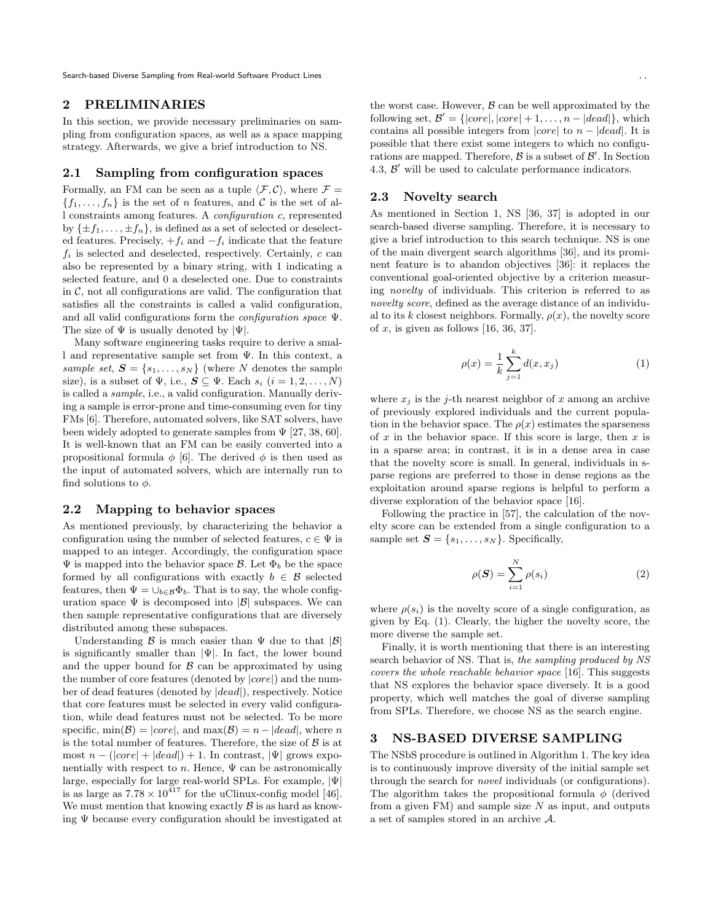Search-based Diverse Sampling from Real-world Software Product Lines

# **2 PRELIMINARIES**

In this section, we provide necessary preliminaries on sampling from configuration spaces, as well as a space mapping strategy. Afterwards, we give a brief introduction to NS.

# <span id="page-3-2"></span>**2.1 Sampling from configuration spaces**

Formally, an FM can be seen as a tuple  $\langle \mathcal{F}, \mathcal{C} \rangle$ , where  $\mathcal{F} =$  ${f_1, \ldots, f_n}$  is the set of *n* features, and *C* is the set of all constraints among features. A *configuration c*, represented by  $\{\pm f_1, \ldots, \pm f_n\}$ , is defined as a set of selected or deselected features. Precisely, +*f<sup>i</sup>* and *−f<sup>i</sup>* indicate that the feature  $f_i$  is selected and deselected, respectively. Certainly,  $c$  can also be represented by a binary string, with 1 indicating a selected feature, and 0 a deselected one. Due to constraints in  $\mathcal{C}$ , not all configurations are valid. The configuration that satisfies all the constraints is called a valid configuration, and all valid configurations form the *configuration space* Ψ. The size of Ψ is usually denoted by *|*Ψ*|*.

Many software engineering tasks require to derive a small and representative sample set from Ψ. In this context, a *sample set*,  $S = \{s_1, \ldots, s_N\}$  (where *N* denotes the sample size), is a subset of  $\Psi$ , i.e.,  $\mathbf{S} \subseteq \Psi$ . Each  $s_i$   $(i = 1, 2, ..., N)$ is called a *sample*, i.e., a valid configuration. Manually deriving a sample is error-prone and time-consuming even for tiny FMs [[6](#page-10-2)]. Therefore, automated solvers, like SAT solvers, have been widely adopted to generate samples from  $\Psi$  [\[27,](#page-11-17) [38,](#page-11-22) [60\]](#page-12-2). It is well-known that an FM can be easily converted into a propositional formula  $\phi$  [[6](#page-10-2)]. The derived  $\phi$  is then used as the input of automated solvers, which are internally run to find solutions to  $\phi$ .

## <span id="page-3-0"></span>**2.2 Mapping to behavior spaces**

As mentioned previously, by characterizing the behavior a configuration using the number of selected features,  $c \in \Psi$  is mapped to an integer. Accordingly, the configuration space  $\Psi$  is mapped into the behavior space *B*. Let  $\Phi_b$  be the space formed by all configurations with exactly  $b \in \mathcal{B}$  selected features, then  $\Psi = \bigcup_{b \in \mathcal{B}} \Phi_b$ . That is to say, the whole configuration space  $\Psi$  is decomposed into  $|\mathcal{B}|$  subspaces. We can then sample representative configurations that are diversely distributed among these subspaces.

Understanding *B* is much easier than Ψ due to that *|B|* is significantly smaller than *|*Ψ*|*. In fact, the lower bound and the upper bound for  $\beta$  can be approximated by using the number of core features (denoted by *|core|*) and the number of dead features (denoted by *|dead|*), respectively. Notice that core features must be selected in every valid configuration, while dead features must not be selected. To be more specific,  $\min(\mathcal{B}) = |core|$ , and  $\max(\mathcal{B}) = n - |dead|$ , where *n* is the total number of features. Therefore, the size of *B* is at  $\text{most } n - (\vert core \vert + \vert dead \vert) + 1$ . In contrast,  $\vert \Psi \vert$  grows exponentially with respect to  $n$ . Hence,  $\Psi$  can be astronomically large, especially for large real-world SPLs. For example, *|*Ψ*|* is as large as  $7.78 \times 10^{417}$  for the uClinux-config model [[46\]](#page-12-7). We must mention that knowing exactly  $\beta$  is as hard as knowing Ψ because every configuration should be investigated at

the worst case. However,  $\beta$  can be well approximated by the  $\text{following set, } \mathcal{B}' = \{ |core|, |core| + 1, \ldots, n - |dead| \}, \text{which}$ contains all possible integers from *|core|* to *n − |dead|*. It is possible that there exist some integers to which no configurations are mapped. Therefore, *B* is a subset of *B ′* . In Section [4.3,](#page-6-0) *B ′* will be used to calculate performance indicators.

# **2.3 Novelty search**

As mentioned in Section [1,](#page-1-0) NS [\[36](#page-11-18), [37](#page-11-19)] is adopted in our search-based diverse sampling. Therefore, it is necessary to give a brief introduction to this search technique. NS is one of the main divergent search algorithms [[36\]](#page-11-18), and its prominent feature is to abandon objectives [\[36](#page-11-18)]: it replaces the conventional goal-oriented objective by a criterion measuring *novelty* of individuals. This criterion is referred to as *novelty score*, defined as the average distance of an individual to its *k* closest neighbors. Formally,  $\rho(x)$ , the novelty score of *x*, is given as follows [[16,](#page-11-20) [36,](#page-11-18) [37\]](#page-11-19).

<span id="page-3-1"></span>
$$
\rho(x) = \frac{1}{k} \sum_{j=1}^{k} d(x, x_j)
$$
\n(1)

where  $x_j$  is the *j*-th nearest neighbor of *x* among an archive of previously explored individuals and the current population in the behavior space. The  $\rho(x)$  estimates the sparseness of *x* in the behavior space. If this score is large, then *x* is in a sparse area; in contrast, it is in a dense area in case that the novelty score is small. In general, individuals in sparse regions are preferred to those in dense regions as the exploitation around sparse regions is helpful to perform a diverse exploration of the behavior space [\[16\]](#page-11-20).

Following the practice in [[57](#page-12-13)], the calculation of the novelty score can be extended from a single configuration to a sample set  $S = \{s_1, \ldots, s_N\}$ . Specifically,

<span id="page-3-3"></span>
$$
\rho(\boldsymbol{S}) = \sum_{i=1}^{N} \rho(s_i) \tag{2}
$$

where  $\rho(s_i)$  is the novelty score of a single configuration, as given by Eq. ([1](#page-3-1)). Clearly, the higher the novelty score, the more diverse the sample set.

Finally, it is worth mentioning that there is an interesting search behavior of NS. That is, *the sampling produced by NS covers the whole reachable behavior space* [[16\]](#page-11-20). This suggests that NS explores the behavior space diversely. It is a good property, which well matches the goal of diverse sampling from SPLs. Therefore, we choose NS as the search engine.

#### **3 NS-BASED DIVERSE SAMPLING**

The NSbS procedure is outlined in Algorithm [1](#page-4-0). The key idea is to continuously improve diversity of the initial sample set through the search for *novel* individuals (or configurations). The algorithm takes the propositional formula  $\phi$  (derived from a given FM) and sample size *N* as input, and outputs a set of samples stored in an archive *A*.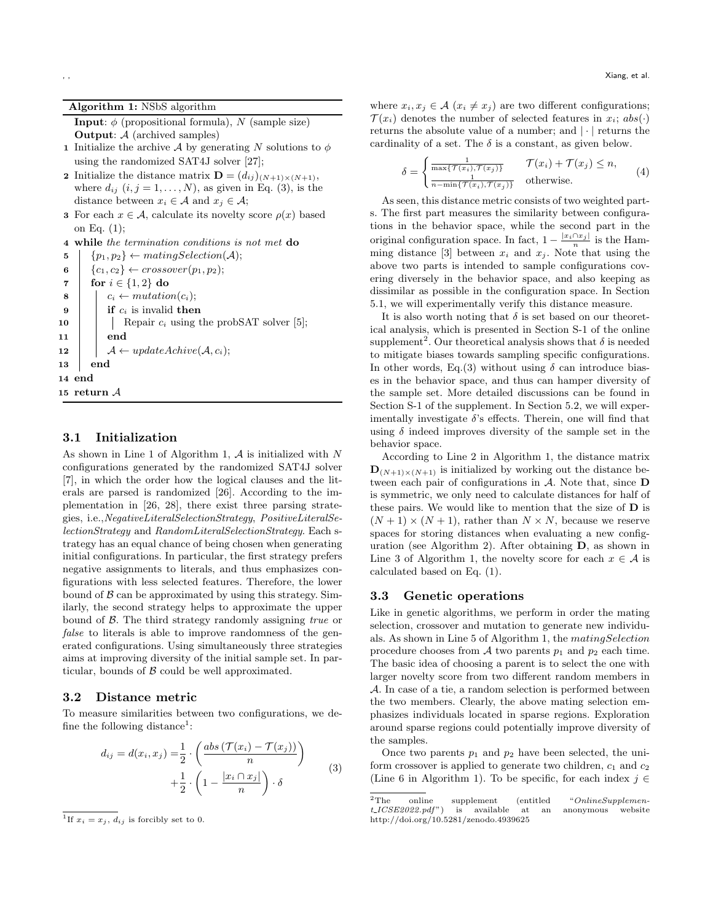**Algorithm 1:** NSbS algorithm

<span id="page-4-0"></span>**Input**:  $\phi$  (propositional formula), *N* (sample size) **Output**: *A* (archived samples)

- **1** Initialize the archive *A* by generating *N* solutions to  $\phi$ using the randomized SAT4J solver [[27\]](#page-11-17);
- **2** Initialize the distance matrix  $\mathbf{D} = (d_{ij})_{(N+1)\times(N+1)},$ where  $d_{ij}$   $(i, j = 1, \ldots, N)$ , as given in Eq. [\(3\)](#page-4-1), is the distance between  $x_i \in A$  and  $x_j \in A$ ;
- **3** For each  $x \in A$ , calculate its novelty score  $\rho(x)$  based on Eq. ([1\)](#page-3-1);

```
4 while the termination conditions is not met do
```

```
\mathbf{5} | \{p_1, p_2\} \leftarrow \text{matingSelection}(\mathcal{A});6 \{c_1, c_2\} ← crossover(p<sub>1</sub>, p<sub>2</sub>);
 7 for i ∈ {1, 2} do
 8 \vert c<sub>i</sub> \leftarrow mutation(c<sub>i</sub>);
 9 if c_i is invalid then
10 \vert Repair c_i5];
11 end
12 A \leftarrow updateActive(A, c_i);13 end
14 end
15 return A
```
# <span id="page-4-4"></span>**3.1 Initialization**

As shown in Line 1 of Algorithm [1,](#page-4-0) *A* is initialized with *N* configurations generated by the randomized SAT4J solver [\[7\]](#page-11-23), in which the order how the logical clauses and the literals are parsed is randomized [[26\]](#page-11-4). According to the implementation in [[26,](#page-11-4) [28](#page-11-15)], there exist three parsing strategies, i.e.,*NegativeLiteralSelectionStrategy*, *PositiveLiteralSelectionStrategy* and *RandomLiteralSelectionStrategy*. Each strategy has an equal chance of being chosen when generating initial configurations. In particular, the first strategy prefers negative assignments to literals, and thus emphasizes configurations with less selected features. Therefore, the lower bound of  $\beta$  can be approximated by using this strategy. Similarly, the second strategy helps to approximate the upper bound of *B*. The third strategy randomly assigning *true* or *false* to literals is able to improve randomness of the generated configurations. Using simultaneously three strategies aims at improving diversity of the initial sample set. In particular, bounds of *B* could be well approximated.

# **3.2 Distance metric**

To measure similarities between two configurations, we de-fine the following distance<sup>[1](#page-4-2)</sup>:

<span id="page-4-1"></span>
$$
d_{ij} = d(x_i, x_j) = \frac{1}{2} \cdot \left( \frac{abs\left(\mathcal{T}(x_i) - \mathcal{T}(x_j)\right)}{n} \right) + \frac{1}{2} \cdot \left(1 - \frac{|x_i \cap x_j|}{n}\right) \cdot \delta \tag{3}
$$

<span id="page-4-2"></span><sup>1</sup>If  $x_i = x_j$ ,  $d_{ij}$  is forcibly set to 0.

where  $x_i, x_j \in \mathcal{A}$  ( $x_i \neq x_j$ ) are two different configurations;  $\mathcal{T}(x_i)$  denotes the number of selected features in  $x_i$ ;  $abs(\cdot)$ returns the absolute value of a number; and *| · |* returns the cardinality of a set. The  $\delta$  is a constant, as given below.

$$
\delta = \begin{cases} \frac{1}{\max\{\mathcal{T}(x_i), \mathcal{T}(x_j)\}} & \mathcal{T}(x_i) + \mathcal{T}(x_j) \le n, \\ \frac{1}{n - \min\{\mathcal{T}(x_i), \mathcal{T}(x_j)\}} & \text{otherwise.} \end{cases} (4)
$$

As seen, this distance metric consists of two weighted parts. The first part measures the similarity between configurations in the behavior space, while the second part in the original configuration space. In fact,  $1 - \frac{|x_i \cap x_j|}{n}$  is the Ham-ming distance [\[3\]](#page-10-4) between  $x_i$  and  $x_j$ . Note that using the above two parts is intended to sample configurations covering diversely in the behavior space, and also keeping as dissimilar as possible in the configuration space. In Section [5.1,](#page-7-1) we will experimentally verify this distance measure.

It is also worth noting that  $\delta$  is set based on our theoretical analysis, which is presented in Section S-1 of the online supplement<sup>[2](#page-4-3)</sup>. Our theoretical analysis shows that  $\delta$  is needed to mitigate biases towards sampling specific configurations. In other words, Eq.[\(3\)](#page-4-1) without using  $\delta$  can introduce biases in the behavior space, and thus can hamper diversity of the sample set. More detailed discussions can be found in Section S-1 of the supplement. In Section [5.2](#page-7-2), we will experimentally investigate *δ*'s effects. Therein, one will find that using  $\delta$  indeed improves diversity of the sample set in the behavior space.

According to Line 2 in Algorithm [1,](#page-4-0) the distance matrix  $\mathbf{D}_{(N+1)\times(N+1)}$  is initialized by working out the distance between each pair of configurations in *A*. Note that, since **D** is symmetric, we only need to calculate distances for half of these pairs. We would like to mention that the size of **D** is  $(N+1) \times (N+1)$ , rather than  $N \times N$ , because we reserve spaces for storing distances when evaluating a new configuration (see Algorithm [2](#page-5-0)). After obtaining **D**, as shown in Line 3 of Algorithm [1,](#page-4-0) the novelty score for each  $x \in A$  is calculated based on Eq. [\(1\)](#page-3-1).

## **3.3 Genetic operations**

Like in genetic algorithms, we perform in order the mating selection, crossover and mutation to generate new individuals. As shown in Line 5 of Algorithm [1,](#page-4-0) the *matingSelection* procedure chooses from  $A$  two parents  $p_1$  and  $p_2$  each time. The basic idea of choosing a parent is to select the one with larger novelty score from two different random members in *A*. In case of a tie, a random selection is performed between the two members. Clearly, the above mating selection emphasizes individuals located in sparse regions. Exploration around sparse regions could potentially improve diversity of the samples.

Once two parents *p*<sup>1</sup> and *p*<sup>2</sup> have been selected, the uniform crossover is applied to generate two children, *c*<sup>1</sup> and *c*<sup>2</sup> (Line 6 in Algorithm [1](#page-4-0)). To be specific, for each index *j ∈*

<span id="page-4-3"></span><sup>&</sup>lt;sup>2</sup>The online supplement (entitled "*OnlineSupplement LICSE2022.ndf*") is available at an anonymous website  $t$ <sub>*ICSE2022.pdf*") is available at an</sub> <http://doi.org/10.5281/zenodo.4939625>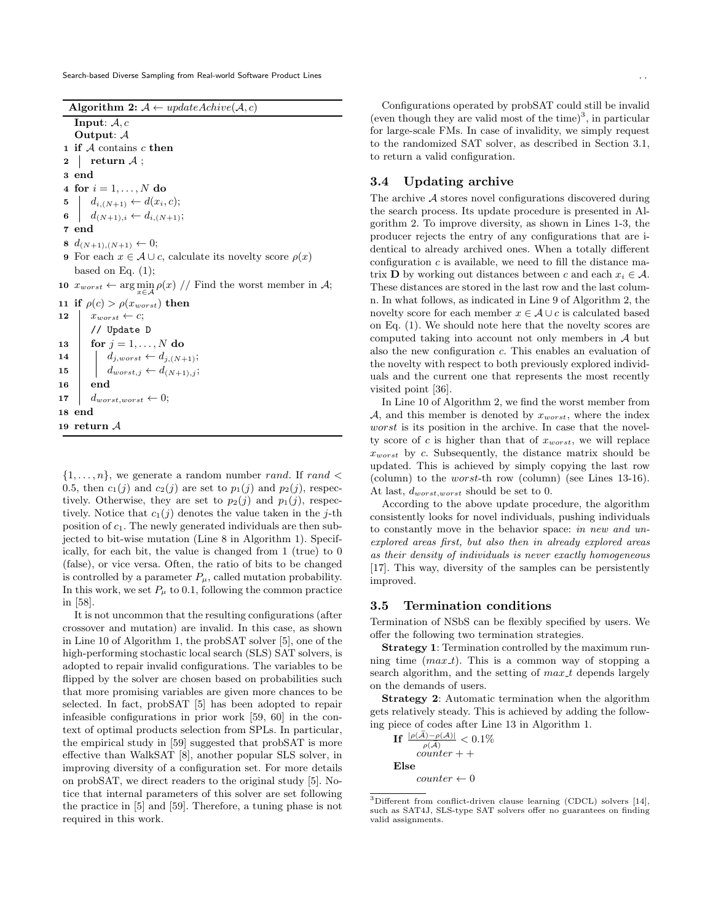Search-based Diverse Sampling from Real-world Software Product Lines

<span id="page-5-0"></span>**Algorithm 2:**  $A \leftarrow updateActive(A, c)$ **Input**: *A, c* **Output**: *A*

- **1 if** *A* contains *c* **then**
- **2 return** *A* ;

**3 end**

**4 for**  $i = 1, ..., N$  **do** 

```
\mathbf{5} d_{i,(N+1)} \leftarrow d(x_i, c);
```
- **6**  $d_{(N+1),i} \leftarrow d_{i,(N+1)}$ ;
- **7 end**

**8**  $d_{(N+1),(N+1)}$  ← 0;

- **9** For each  $x \in A \cup c$ , calculate its novelty score  $\rho(x)$ based on Eq.  $(1)$  $(1)$  $(1)$ ;
- **10**  $x_{worst}$  ← arg  $\min_{x \in \mathcal{A}} \rho(x)$  // Find the worst member in  $\mathcal{A}$ ;

```
11 if \rho(c) > \rho(x_{worst}) then
12 x_{worst} \leftarrow c;
        // Update D
13 for j = 1, ..., N do
14 \Big| d_{j,worst} \leftarrow d_{j,(N+1)};15 \left| \right| d_{worst,j} \leftarrow d_{(N+1),j};
16 end
17 \int dworst,worst \leftarrow 0;
18 end
```

```
19 return A
```
 $\{1, \ldots, n\}$ , we generate a random number *rand*. If *rand* < 0.5, then  $c_1(j)$  and  $c_2(j)$  are set to  $p_1(j)$  and  $p_2(j)$ , respectively. Otherwise, they are set to  $p_2(i)$  and  $p_1(i)$ , respectively. Notice that  $c_1(j)$  denotes the value taken in the *j*-th position of *c*1. The newly generated individuals are then subjected to bit-wise mutation (Line 8 in Algorithm [1\)](#page-4-0). Specifically, for each bit, the value is changed from 1 (true) to 0 (false), or vice versa. Often, the ratio of bits to be changed is controlled by a parameter  $P_\mu$ , called mutation probability. In this work, we set  $P_\mu$  to 0.1, following the common practice in [\[58](#page-12-14)].

It is not uncommon that the resulting configurations (after crossover and mutation) are invalid. In this case, as shown in Line 10 of Algorithm [1,](#page-4-0) the probSAT solver [\[5](#page-10-3)], one of the high-performing stochastic local search (SLS) SAT solvers, is adopted to repair invalid configurations. The variables to be flipped by the solver are chosen based on probabilities such that more promising variables are given more chances to be selected. In fact, probSAT [[5](#page-10-3)] has been adopted to repair infeasible configurations in prior work [[59](#page-12-15), [60\]](#page-12-2) in the context of optimal products selection from SPLs. In particular, the empirical study in [[59\]](#page-12-15) suggested that probSAT is more effective than WalkSAT [\[8\]](#page-11-24), another popular SLS solver, in improving diversity of a configuration set. For more details on probSAT, we direct readers to the original study [[5](#page-10-3)]. Notice that internal parameters of this solver are set following the practice in [\[5](#page-10-3)] and [[59](#page-12-15)]. Therefore, a tuning phase is not required in this work.

Configurations operated by probSAT could still be invalid (even though they are valid most of the time)<sup>[3](#page-5-1)</sup>, in particular for large-scale FMs. In case of invalidity, we simply request to the randomized SAT solver, as described in Section [3.1,](#page-4-4) to return a valid configuration.

# **3.4 Updating archive**

The archive *A* stores novel configurations discovered during the search process. Its update procedure is presented in Algorithm [2.](#page-5-0) To improve diversity, as shown in Lines 1-3, the producer rejects the entry of any configurations that are identical to already archived ones. When a totally different configuration  $c$  is available, we need to fill the distance matrix **D** by working out distances between *c* and each  $x_i \in A$ . These distances are stored in the last row and the last column. In what follows, as indicated in Line 9 of Algorithm [2](#page-5-0), the novelty score for each member  $x \in A \cup c$  is calculated based on Eq. [\(1\)](#page-3-1). We should note here that the novelty scores are computed taking into account not only members in *A* but also the new configuration *c*. This enables an evaluation of the novelty with respect to both previously explored individuals and the current one that represents the most recently visited point [\[36](#page-11-18)].

In Line 10 of Algorithm [2](#page-5-0), we find the worst member from *A*, and this member is denoted by *xworst*, where the index *worst* is its position in the archive. In case that the novelty score of *c* is higher than that of *xworst*, we will replace *xworst* by *c*. Subsequently, the distance matrix should be updated. This is achieved by simply copying the last row (column) to the *worst*-th row (column) (see Lines 13-16). At last, *dworst,worst* should be set to 0.

According to the above update procedure, the algorithm consistently looks for novel individuals, pushing individuals to constantly move in the behavior space: *in new and unexplored areas first, but also then in already explored areas as their density of individuals is never exactly homogeneous* [[17\]](#page-11-21). This way, diversity of the samples can be persistently improved.

# <span id="page-5-2"></span>**3.5 Termination conditions**

Termination of NSbS can be flexibly specified by users. We offer the following two termination strategies.

**Strategy 1**: Termination controlled by the maximum running time (*max t*). This is a common way of stopping a search algorithm, and the setting of *max t* depends largely on the demands of users.

**Strategy 2**: Automatic termination when the algorithm gets relatively steady. This is achieved by adding the following piece of codes after Line 13 in Algorithm [1](#page-4-0).

 $\mathbf{H} \left| \frac{\rho(\mathcal{A}) - \rho(\mathcal{A})}{\tilde{A}} \right| < 0.1\%$  $\rho(\widetilde{\mathcal{A}})$ *counter* + + **Else**  $counter \leftarrow 0$ 

<span id="page-5-1"></span><sup>3</sup>Different from conflict-driven clause learning (CDCL) solvers [[14\]](#page-11-25), such as SAT4J, SLS-type SAT solvers offer no guarantees on finding valid assignments.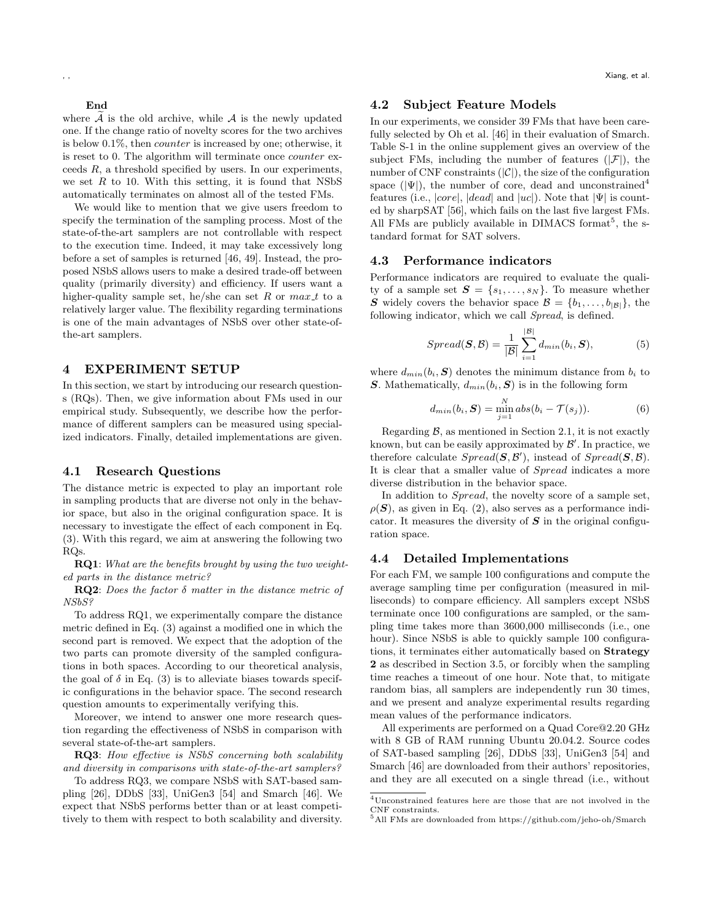**End**

where  $\widetilde{A}$  is the old archive, while  $A$  is the newly updated one. If the change ratio of novelty scores for the two archives is below 0.1%, then *counter* is increased by one; otherwise, it is reset to 0. The algorithm will terminate once *counter* exceeds *R*, a threshold specified by users. In our experiments, we set  $R$  to 10. With this setting, it is found that NSbS automatically terminates on almost all of the tested FMs.

We would like to mention that we give users freedom to specify the termination of the sampling process. Most of the state-of-the-art samplers are not controllable with respect to the execution time. Indeed, it may take excessively long before a set of samples is returned [[46,](#page-12-7) [49](#page-12-16)]. Instead, the proposed NSbS allows users to make a desired trade-off between quality (primarily diversity) and efficiency. If users want a higher-quality sample set, he/she can set R or  $max_t t$  to a relatively larger value. The flexibility regarding terminations is one of the main advantages of NSbS over other state-ofthe-art samplers.

#### **4 EXPERIMENT SETUP**

In this section, we start by introducing our research questions (RQs). Then, we give information about FMs used in our empirical study. Subsequently, we describe how the performance of different samplers can be measured using specialized indicators. Finally, detailed implementations are given.

#### **4.1 Research Questions**

The distance metric is expected to play an important role in sampling products that are diverse not only in the behavior space, but also in the original configuration space. It is necessary to investigate the effect of each component in Eq. [\(3\)](#page-4-1). With this regard, we aim at answering the following two RQs.

**RQ1**: *What are the benefits brought by using the two weighted parts in the distance metric?*

**RQ2**: *Does the factor δ matter in the distance metric of NSbS?*

To address RQ1, we experimentally compare the distance metric defined in Eq. ([3\)](#page-4-1) against a modified one in which the second part is removed. We expect that the adoption of the two parts can promote diversity of the sampled configurations in both spaces. According to our theoretical analysis, the goal of  $\delta$  in Eq. ([3](#page-4-1)) is to alleviate biases towards specific configurations in the behavior space. The second research question amounts to experimentally verifying this.

Moreover, we intend to answer one more research question regarding the effectiveness of NSbS in comparison with several state-of-the-art samplers.

**RQ3**: *How effective is NSbS concerning both scalability and diversity in comparisons with state-of-the-art samplers?*

To address RQ3, we compare NSbS with SAT-based sampling [[26\]](#page-11-4), DDbS [\[33](#page-11-6)], UniGen3 [[54](#page-12-12)] and Smarch [[46\]](#page-12-7). We expect that NSbS performs better than or at least competitively to them with respect to both scalability and diversity.

## **4.2 Subject Feature Models**

In our experiments, we consider 39 FMs that have been carefully selected by Oh et al. [\[46](#page-12-7)] in their evaluation of Smarch. Table S-1 in the online supplement gives an overview of the subject FMs, including the number of features  $(|\mathcal{F}|)$ , the number of CNF constraints  $(|\mathcal{C}|)$ , the size of the configuration space  $(|\Psi|)$ , the number of core, dead and unconstrained<sup>[4](#page-6-1)</sup> features (i.e., *|core|*, *|dead|* and *|uc|*). Note that *|*Ψ*|* is counted by sharpSAT [[56](#page-12-17)], which fails on the last five largest FMs. All FMs are publicly available in DIMACS format<sup>[5](#page-6-2)</sup>, the standard format for SAT solvers.

# <span id="page-6-0"></span>**4.3 Performance indicators**

Performance indicators are required to evaluate the quality of a sample set  $S = \{s_1, \ldots, s_N\}$ . To measure whether *S* widely covers the behavior space  $\mathcal{B} = \{b_1, \ldots, b_{|\mathcal{B}|}\}\$ , the following indicator, which we call *Spread*, is defined.

$$
Spread(\boldsymbol{S}, \mathcal{B}) = \frac{1}{|\mathcal{B}|} \sum_{i=1}^{|\mathcal{B}|} d_{min}(b_i, \boldsymbol{S}), \tag{5}
$$

where  $d_{min}(b_i, S)$  denotes the minimum distance from  $b_i$  to *S*. Mathematically,  $d_{min}(b_i, S)$  is in the following form

$$
d_{min}(b_i, \mathbf{S}) = \min_{j=1}^{N} abs(b_i - \mathcal{T}(s_j)).
$$
\n(6)

Regarding  $\beta$ , as mentioned in Section [2.1](#page-3-2), it is not exactly known, but can be easily approximated by *B ′* . In practice, we therefore calculate  $Spread(\mathbf{S}, \mathcal{B}')$ , instead of  $Spread(\mathbf{S}, \mathcal{B})$ . It is clear that a smaller value of *Spread* indicates a more diverse distribution in the behavior space.

In addition to *Spread*, the novelty score of a sample set,  $\rho(\mathbf{S})$ , as given in Eq. ([2](#page-3-3)), also serves as a performance indicator. It measures the diversity of *S* in the original configuration space.

#### **4.4 Detailed Implementations**

For each FM, we sample 100 configurations and compute the average sampling time per configuration (measured in milliseconds) to compare efficiency. All samplers except NSbS terminate once 100 configurations are sampled, or the sampling time takes more than 3600,000 milliseconds (i.e., one hour). Since NSbS is able to quickly sample 100 configurations, it terminates either automatically based on **Strategy 2** as described in Section [3.5,](#page-5-2) or forcibly when the sampling time reaches a timeout of one hour. Note that, to mitigate random bias, all samplers are independently run 30 times, and we present and analyze experimental results regarding mean values of the performance indicators.

All experiments are performed on a Quad Core@2.20 GHz with 8 GB of RAM running Ubuntu 20.04.2. Source codes of SAT-based sampling [[26](#page-11-4)], DDbS [[33\]](#page-11-6), UniGen3 [[54\]](#page-12-12) and Smarch [[46](#page-12-7)] are downloaded from their authors' repositories, and they are all executed on a single thread (i.e., without

<span id="page-6-1"></span><sup>4</sup>Unconstrained features here are those that are not involved in the CNF constraints.

<span id="page-6-2"></span><sup>5</sup>All FMs are downloaded from <https://github.com/jeho-oh/Smarch>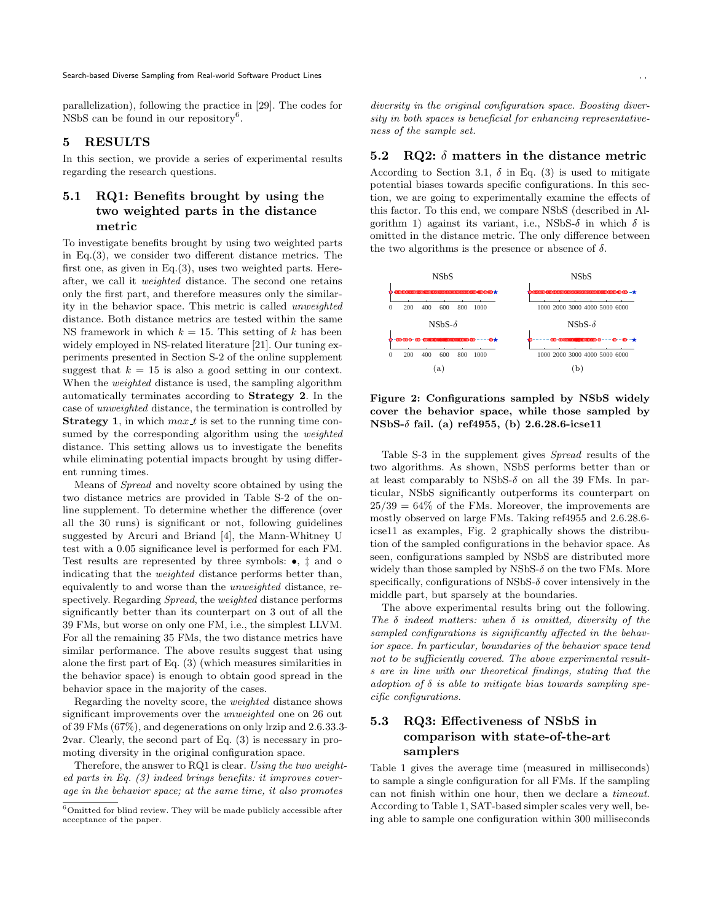parallelization), following the practice in [[29](#page-11-26)]. The codes for NSbS can be found in our repository<sup>[6](#page-7-3)</sup>.

# **5 RESULTS**

In this section, we provide a series of experimental results regarding the research questions.

# <span id="page-7-1"></span>**5.1 RQ1: Benefits brought by using the two weighted parts in the distance metric**

To investigate benefits brought by using two weighted parts in Eq.([3](#page-4-1)), we consider two different distance metrics. The first one, as given in Eq.[\(3\)](#page-4-1), uses two weighted parts. Hereafter, we call it *weighted* distance. The second one retains only the first part, and therefore measures only the similarity in the behavior space. This metric is called *unweighted* distance. Both distance metrics are tested within the same NS framework in which  $k = 15$ . This setting of  $k$  has been widely employed in NS-related literature [[21](#page-11-27)]. Our tuning experiments presented in Section S-2 of the online supplement suggest that  $k = 15$  is also a good setting in our context. When the *weighted* distance is used, the sampling algorithm automatically terminates according to **Strategy 2**. In the case of *unweighted* distance, the termination is controlled by **Strategy 1**, in which  $max_t t$  is set to the running time consumed by the corresponding algorithm using the *weighted* distance. This setting allows us to investigate the benefits while eliminating potential impacts brought by using different running times.

Means of *Spread* and novelty score obtained by using the two distance metrics are provided in Table S-2 of the online supplement. To determine whether the difference (over all the 30 runs) is significant or not, following guidelines suggested by Arcuri and Briand [[4\]](#page-10-5), the Mann-Whitney U test with a 0.05 significance level is performed for each FM. Test results are represented by three symbols: *•*, *‡* and *◦* indicating that the *weighted* distance performs better than, equivalently to and worse than the *unweighted* distance, respectively. Regarding *Spread*, the *weighted* distance performs significantly better than its counterpart on 3 out of all the 39 FMs, but worse on only one FM, i.e., the simplest LLVM. For all the remaining 35 FMs, the two distance metrics have similar performance. The above results suggest that using alone the first part of Eq. ([3](#page-4-1)) (which measures similarities in the behavior space) is enough to obtain good spread in the behavior space in the majority of the cases.

Regarding the novelty score, the *weighted* distance shows significant improvements over the *unweighted* one on 26 out of 39 FMs (67%), and degenerations on only lrzip and 2.6.33.3- 2var. Clearly, the second part of Eq. ([3\)](#page-4-1) is necessary in promoting diversity in the original configuration space.

Therefore, the answer to RQ1 is clear. *Using the two weighted parts in Eq. ([3](#page-4-1)) indeed brings benefits: it improves coverage in the behavior space; at the same time, it also promotes*

*diversity in the original configuration space. Boosting diversity in both spaces is beneficial for enhancing representativeness of the sample set.*

#### <span id="page-7-2"></span>**5.2 RQ2:** *δ* **matters in the distance metric**

According to Section [3.1,](#page-4-4)  $\delta$  in Eq. [\(3\)](#page-4-1) is used to mitigate potential biases towards specific configurations. In this section, we are going to experimentally examine the effects of this factor. To this end, we compare NSbS (described in Al-gorithm [1\)](#page-4-0) against its variant, i.e., NSbS- $\delta$  in which  $\delta$  is omitted in the distance metric. The only difference between the two algorithms is the presence or absence of  $\delta$ .

<span id="page-7-4"></span>

**Figure 2: Configurations sampled by NSbS widely cover the behavior space, while those sampled by NSbS-***δ* **fail. (a) ref4955, (b) 2.6.28.6-icse11**

Table S-3 in the supplement gives *Spread* results of the two algorithms. As shown, NSbS performs better than or at least comparably to NSbS-*δ* on all the 39 FMs. In particular, NSbS significantly outperforms its counterpart on  $25/39 = 64\%$  of the FMs. Moreover, the improvements are mostly observed on large FMs. Taking ref4955 and 2.6.28.6 icse11 as examples, Fig. [2](#page-7-4) graphically shows the distribution of the sampled configurations in the behavior space. As seen, configurations sampled by NSbS are distributed more widely than those sampled by NSbS-*δ* on the two FMs. More specifically, configurations of NSbS-*δ* cover intensively in the middle part, but sparsely at the boundaries.

The above experimental results bring out the following. *The δ indeed matters: when δ is omitted, diversity of the sampled configurations is significantly affected in the behavior space. In particular, boundaries of the behavior space tend not to be sufficiently covered. The above experimental results are in line with our theoretical findings, stating that the adoption of δ is able to mitigate bias towards sampling specific configurations.*

# <span id="page-7-0"></span>**5.3 RQ3: Effectiveness of NSbS in comparison with state-of-the-art samplers**

Table [1](#page-8-1) gives the average time (measured in milliseconds) to sample a single configuration for all FMs. If the sampling can not finish within one hour, then we declare a *timeout*. According to Table [1,](#page-8-1) SAT-based simpler scales very well, being able to sample one configuration within 300 milliseconds

<span id="page-7-3"></span> $^6\mathrm{Omitted}$  for blind review. They will be made publicly accessible after acceptance of the paper.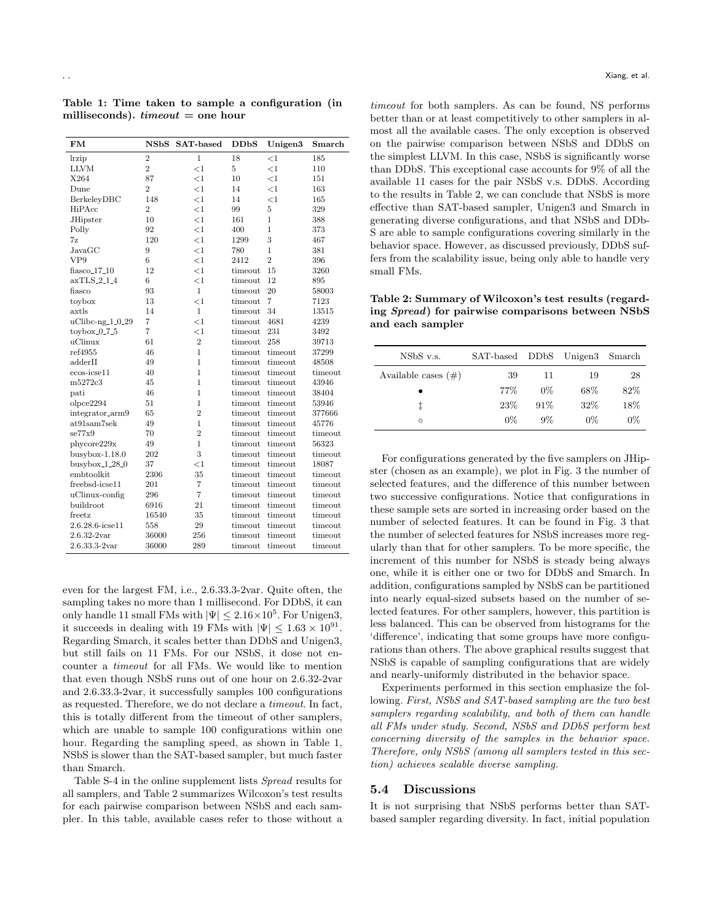<span id="page-8-1"></span>**Table 1: Time taken to sample a configuration (in milliseconds).** *timeout* **= one hour**

| FM                   | <b>NSbS</b>    | <b>SAT-based</b> | DDbS    | Unigen3        | Smarch  |
|----------------------|----------------|------------------|---------|----------------|---------|
| lrzip                | $\overline{2}$ | $\mathbf{1}$     | 18      | <1             | 185     |
| <b>LLVM</b>          | $\overline{2}$ | $\leq$ 1         | 5       | $\leq$ 1       | 110     |
| X264                 | 87             | $\leq$ 1         | 10      | <1             | 151     |
| Dune                 | $\overline{2}$ | $<$ 1            | 14      | <1             | 163     |
| BerkeleyDBC          | 148            | $\leq$ 1         | 14      | $\leq$ 1       | 165     |
| HiPAcc               | $\overline{2}$ | $\leq$ 1         | 99      | 5              | 329     |
| <b>JHipster</b>      | 10             | $<$ 1            | 161     | $\mathbf{1}$   | 388     |
| Polly                | 92             | $\leq$ 1         | 400     | 1              | 373     |
| 7z                   | 120            | $<$ 1            | 1299    | 3              | 467     |
| JavaGC               | 9              | $\leq$ 1         | 780     | 1              | 381     |
| VP9                  | 6              | $\leq$ 1         | 2412    | $\overline{2}$ | 396     |
| $fiasco_17_10$       | 12             | $\leq$ 1         | timeout | 15             | 3260    |
| axTLS.2.1.4          | 6              | $<$ 1            | timeout | 12             | 895     |
| $_{\rm{fiasco}}$     | 93             | $\mathbf{1}$     | timeout | 20             | 58003   |
| toybox               | 13             | $<$ 1            | timeout | $\overline{7}$ | 7123    |
| axtls                | 14             | $\mathbf{1}$     | timeout | 34             | 13515   |
| $uClibc-ng_1_0_29$   | $\overline{7}$ | $\leq$ 1         | timeout | 4681           | 4239    |
| $toy box_0_7_5$      | $\overline{7}$ | $<$ 1            | timeout | 231            | 3492    |
| uClinux              | 61             | $\overline{2}$   | timeout | 258            | 39713   |
| ref4955              | 46             | 1                | timeout | timeout        | 37299   |
| adderII              | 49             | 1                | timeout | timeout        | 48508   |
| $ecos-icse11$        | 40             | $\mathbf{1}$     | timeout | timeout        | timeout |
| m5272c3              | 45             | 1                | timeout | timeout        | 43946   |
| pati                 | 46             | 1                | timeout | timeout        | 38404   |
| olpce2294            | 51             | 1                | timeout | timeout        | 53946   |
| integrator_arm9      | 65             | $\overline{2}$   | timeout | timeout        | 377666  |
| $at91\text{sam7sek}$ | 49             | 1                | timeout | timeout        | 45776   |
| se77x9               | 70             | $\overline{2}$   | timeout | timeout        | timeout |
| phycore229x          | 49             | $\mathbf{1}$     | timeout | timeout        | 56323   |
| $b$ usybox-1.18.0    | 202            | 3                | timeout | timeout        | timeout |
| $busybox_128.0$      | 37             | $<$ 1            | timeout | timeout        | 18087   |
| embtoolkit           | 2306           | 35               | timeout | timeout        | timeout |
| freebsd-icse11       | 201            | 7                | timeout | timeout        | timeout |
| uClinux-config       | 296            | $\overline{7}$   | timeout | timeout        | timeout |
| buildroot            | 6916           | 21               | timeout | timeout        | timeout |
| freetz               | 16540          | 35               | timeout | timeout        | timeout |
| 2.6.28.6-icse11      | 558            | 29               | timeout | timeout        | timeout |
| $2.6.32 - 2var$      | 36000          | 256              | timeout | timeout        | timeout |
| $2.6.33.3 - 2var$    | 36000          | 289              | timeout | timeout        | timeout |

even for the largest FM, i.e., 2.6.33.3-2var. Quite often, the sampling takes no more than 1 millisecond. For DDbS, it can only handle 11 small FMs with  $|\Psi| \leq 2.16 \times 10^5$ . For Unigen3, it succeeds in dealing with 19 FMs with  $|\Psi| \leq 1.63 \times 10^{91}$ . Regarding Smarch, it scales better than DDbS and Unigen3, but still fails on 11 FMs. For our NSbS, it dose not encounter a *timeout* for all FMs. We would like to mention that even though NSbS runs out of one hour on 2.6.32-2var and 2.6.33.3-2var, it successfully samples 100 configurations as requested. Therefore, we do not declare a *timeout*. In fact, this is totally different from the timeout of other samplers, which are unable to sample 100 configurations within one hour. Regarding the sampling speed, as shown in Table [1](#page-8-1), NSbS is slower than the SAT-based sampler, but much faster than Smarch.

Table S-4 in the online supplement lists *Spread* results for all samplers, and Table [2](#page-8-2) summarizes Wilcoxon's test results for each pairwise comparison between NSbS and each sampler. In this table, available cases refer to those without a

*timeout* for both samplers. As can be found, NS performs better than or at least competitively to other samplers in almost all the available cases. The only exception is observed on the pairwise comparison between NSbS and DDbS on the simplest LLVM. In this case, NSbS is significantly worse than DDbS. This exceptional case accounts for 9% of all the available 11 cases for the pair NSbS v.s. DDbS. According to the results in Table [2,](#page-8-2) we can conclude that NSbS is more effective than SAT-based sampler, Unigen3 and Smarch in generating diverse configurations, and that NSbS and DDb-S are able to sample configurations covering similarly in the behavior space. However, as discussed previously, DDbS suffers from the scalability issue, being only able to handle very small FMs.

<span id="page-8-2"></span>**Table 2: Summary of Wilcoxon's test results (regarding** *Spread***) for pairwise comparisons between NSbS and each sampler**

| NSbS v.s.              | SAT-based DDbS Unigen3 |       |        | Smarch |
|------------------------|------------------------|-------|--------|--------|
| Available cases $(\#)$ | 39                     | 11    | 19     | 28     |
|                        | $77\%$                 | $0\%$ | 68%    | 82%    |
| İ                      | 23%                    | 91%   | $32\%$ | 18%    |
| $\circ$                | $0\%$                  | $9\%$ | 0%     | $0\%$  |

For configurations generated by the five samplers on JHipster (chosen as an example), we plot in Fig. [3](#page-9-1) the number of selected features, and the difference of this number between two successive configurations. Notice that configurations in these sample sets are sorted in increasing order based on the number of selected features. It can be found in Fig. [3](#page-9-1) that the number of selected features for NSbS increases more regularly than that for other samplers. To be more specific, the increment of this number for NSbS is steady being always one, while it is either one or two for DDbS and Smarch. In addition, configurations sampled by NSbS can be partitioned into nearly equal-sized subsets based on the number of selected features. For other samplers, however, this partition is less balanced. This can be observed from histograms for the 'difference', indicating that some groups have more configurations than others. The above graphical results suggest that NSbS is capable of sampling configurations that are widely and nearly-uniformly distributed in the behavior space.

Experiments performed in this section emphasize the following. *First, NSbS and SAT-based sampling are the two best samplers regarding scalability, and both of them can handle all FMs under study. Second, NSbS and DDbS perform best concerning diversity of the samples in the behavior space. Therefore, only NSbS (among all samplers tested in this section) achieves scalable diverse sampling.*

#### <span id="page-8-0"></span>**5.4 Discussions**

It is not surprising that NSbS performs better than SATbased sampler regarding diversity. In fact, initial population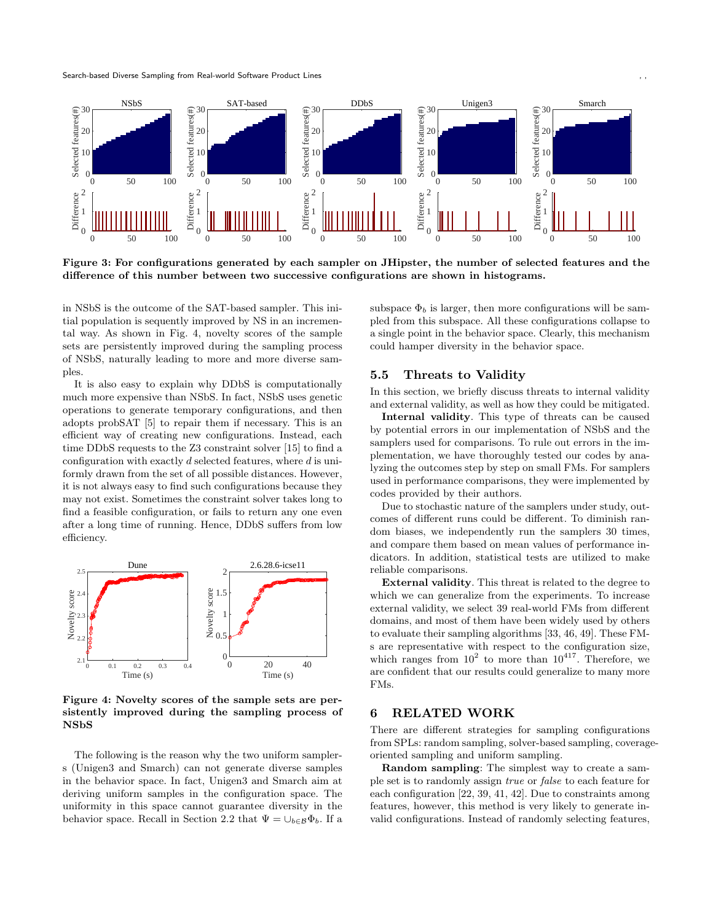<span id="page-9-1"></span>

**Figure 3: For configurations generated by each sampler on JHipster, the number of selected features and the difference of this number between two successive configurations are shown in histograms.**

in NSbS is the outcome of the SAT-based sampler. This initial population is sequently improved by NS in an incremental way. As shown in Fig. [4](#page-9-2), novelty scores of the sample sets are persistently improved during the sampling process of NSbS, naturally leading to more and more diverse samples.

It is also easy to explain why DDbS is computationally much more expensive than NSbS. In fact, NSbS uses genetic operations to generate temporary configurations, and then adopts probSAT [[5](#page-10-3)] to repair them if necessary. This is an efficient way of creating new configurations. Instead, each time DDbS requests to the Z3 constraint solver [\[15\]](#page-11-28) to find a configuration with exactly *d* selected features, where *d* is uniformly drawn from the set of all possible distances. However, it is not always easy to find such configurations because they may not exist. Sometimes the constraint solver takes long to find a feasible configuration, or fails to return any one even after a long time of running. Hence, DDbS suffers from low efficiency.

<span id="page-9-2"></span>

**Figure 4: Novelty scores of the sample sets are persistently improved during the sampling process of NSbS**

The following is the reason why the two uniform samplers (Unigen3 and Smarch) can not generate diverse samples in the behavior space. In fact, Unigen3 and Smarch aim at deriving uniform samples in the configuration space. The uniformity in this space cannot guarantee diversity in the behavior space. Recall in Section [2.2](#page-3-0) that  $\Psi = \bigcup_{b \in \mathcal{B}} \Phi_b$ . If a subspace  $\Phi_b$  is larger, then more configurations will be sampled from this subspace. All these configurations collapse to a single point in the behavior space. Clearly, this mechanism could hamper diversity in the behavior space.

#### **5.5 Threats to Validity**

In this section, we briefly discuss threats to internal validity and external validity, as well as how they could be mitigated.

**Internal validity**. This type of threats can be caused by potential errors in our implementation of NSbS and the samplers used for comparisons. To rule out errors in the implementation, we have thoroughly tested our codes by analyzing the outcomes step by step on small FMs. For samplers used in performance comparisons, they were implemented by codes provided by their authors.

Due to stochastic nature of the samplers under study, outcomes of different runs could be different. To diminish random biases, we independently run the samplers 30 times, and compare them based on mean values of performance indicators. In addition, statistical tests are utilized to make reliable comparisons.

**External validity**. This threat is related to the degree to which we can generalize from the experiments. To increase external validity, we select 39 real-world FMs from different domains, and most of them have been widely used by others to evaluate their sampling algorithms [\[33](#page-11-6), [46](#page-12-7), [49](#page-12-16)]. These FMs are representative with respect to the configuration size, which ranges from  $10^2$  to more than  $10^{417}$ . Therefore, we are confident that our results could generalize to many more FMs.

#### <span id="page-9-0"></span>**6 RELATED WORK**

There are different strategies for sampling configurations from SPLs: random sampling, solver-based sampling, coverageoriented sampling and uniform sampling.

**Random sampling**: The simplest way to create a sample set is to randomly assign *true* or *false* to each feature for each configuration [[22](#page-11-12), [39](#page-12-8), [41,](#page-12-6) [42](#page-12-9)]. Due to constraints among features, however, this method is very likely to generate invalid configurations. Instead of randomly selecting features,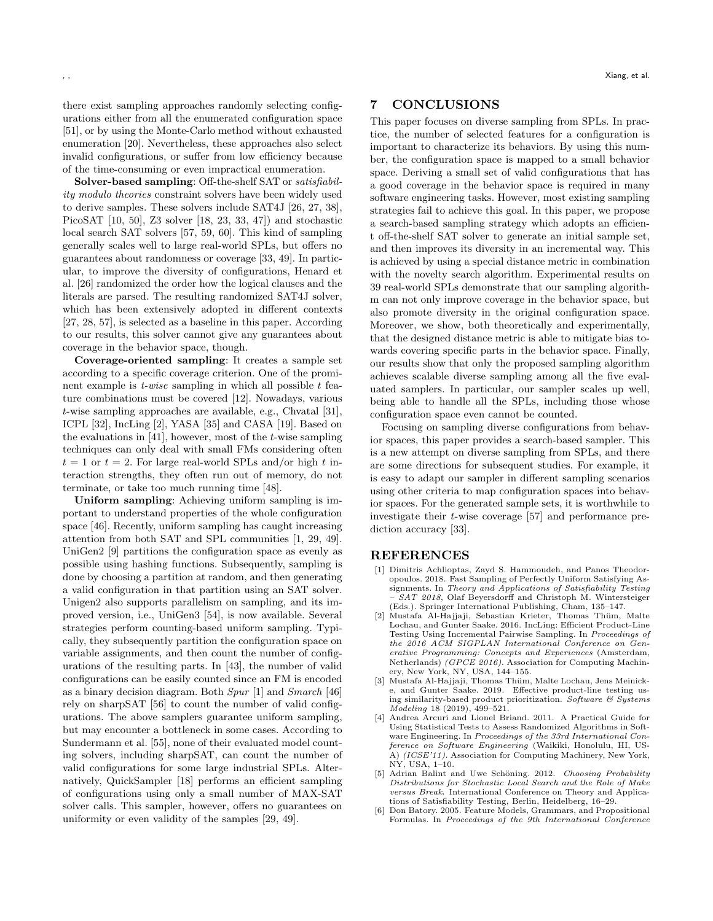there exist sampling approaches randomly selecting configurations either from all the enumerated configuration space [\[51\]](#page-12-3), or by using the Monte-Carlo method without exhausted enumeration [\[20\]](#page-11-11). Nevertheless, these approaches also select invalid configurations, or suffer from low efficiency because of the time-consuming or even impractical enumeration.

**Solver-based sampling**: Off-the-shelf SAT or *satisfiability modulo theories* constraint solvers have been widely used to derive samples. These solvers include SAT4J [[26](#page-11-4), [27](#page-11-17), [38\]](#page-11-22), PicoSAT [\[10,](#page-11-13) [50\]](#page-12-18), Z3 solver [\[18,](#page-11-14) [23,](#page-11-2) [33](#page-11-6), [47](#page-12-19)]) and stochastic local search SAT solvers [[57,](#page-12-13) [59,](#page-12-15) [60\]](#page-12-2). This kind of sampling generally scales well to large real-world SPLs, but offers no guarantees about randomness or coverage [[33](#page-11-6), [49\]](#page-12-16). In particular, to improve the diversity of configurations, Henard et al. [[26\]](#page-11-4) randomized the order how the logical clauses and the literals are parsed. The resulting randomized SAT4J solver, which has been extensively adopted in different contexts [\[27,](#page-11-17) [28,](#page-11-15) [57](#page-12-13)], is selected as a baseline in this paper. According to our results, this solver cannot give any guarantees about coverage in the behavior space, though.

**Coverage-oriented sampling**: It creates a sample set according to a specific coverage criterion. One of the prominent example is *t-wise* sampling in which all possible *t* feature combinations must be covered [[12\]](#page-11-29). Nowadays, various *t*-wise sampling approaches are available, e.g., Chvatal [[31\]](#page-11-30), ICPL [\[32](#page-11-10)], IncLing [\[2\]](#page-10-0), YASA [\[35](#page-11-31)] and CASA [\[19\]](#page-11-9). Based on the evaluations in [[41\]](#page-12-6), however, most of the *t*-wise sampling techniques can only deal with small FMs considering often  $t = 1$  or  $t = 2$ . For large real-world SPLs and/or high  $t$  interaction strengths, they often run out of memory, do not terminate, or take too much running time [\[48](#page-12-20)].

**Uniform sampling**: Achieving uniform sampling is important to understand properties of the whole configuration space [\[46\]](#page-12-7). Recently, uniform sampling has caught increasing attention from both SAT and SPL communities [[1,](#page-10-1) [29,](#page-11-26) [49\]](#page-12-16). UniGen2 [\[9\]](#page-11-16) partitions the configuration space as evenly as possible using hashing functions. Subsequently, sampling is done by choosing a partition at random, and then generating a valid configuration in that partition using an SAT solver. Unigen2 also supports parallelism on sampling, and its improved version, i.e., UniGen3 [[54\]](#page-12-12), is now available. Several strategies perform counting-based uniform sampling. Typically, they subsequently partition the configuration space on variable assignments, and then count the number of configurations of the resulting parts. In [\[43](#page-12-10)], the number of valid configurations can be easily counted since an FM is encoded as a binary decision diagram. Both *Spur* [[1](#page-10-1)] and *Smarch* [\[46](#page-12-7)] rely on sharpSAT [\[56\]](#page-12-17) to count the number of valid configurations. The above samplers guarantee uniform sampling, but may encounter a bottleneck in some cases. According to Sundermann et al. [[55](#page-12-21)], none of their evaluated model counting solvers, including sharpSAT, can count the number of valid configurations for some large industrial SPLs. Alternatively, QuickSampler [\[18\]](#page-11-14) performs an efficient sampling of configurations using only a small number of MAX-SAT solver calls. This sampler, however, offers no guarantees on uniformity or even validity of the samples [[29,](#page-11-26) [49\]](#page-12-16).

# **7 CONCLUSIONS**

This paper focuses on diverse sampling from SPLs. In practice, the number of selected features for a configuration is important to characterize its behaviors. By using this number, the configuration space is mapped to a small behavior space. Deriving a small set of valid configurations that has a good coverage in the behavior space is required in many software engineering tasks. However, most existing sampling strategies fail to achieve this goal. In this paper, we propose a search-based sampling strategy which adopts an efficient off-the-shelf SAT solver to generate an initial sample set, and then improves its diversity in an incremental way. This is achieved by using a special distance metric in combination with the novelty search algorithm. Experimental results on 39 real-world SPLs demonstrate that our sampling algorithm can not only improve coverage in the behavior space, but also promote diversity in the original configuration space. Moreover, we show, both theoretically and experimentally, that the designed distance metric is able to mitigate bias towards covering specific parts in the behavior space. Finally, our results show that only the proposed sampling algorithm achieves scalable diverse sampling among all the five evaluated samplers. In particular, our sampler scales up well, being able to handle all the SPLs, including those whose configuration space even cannot be counted.

Focusing on sampling diverse configurations from behavior spaces, this paper provides a search-based sampler. This is a new attempt on diverse sampling from SPLs, and there are some directions for subsequent studies. For example, it is easy to adapt our sampler in different sampling scenarios using other criteria to map configuration spaces into behavior spaces. For the generated sample sets, it is worthwhile to investigate their *t*-wise coverage [[57\]](#page-12-13) and performance prediction accuracy [\[33\]](#page-11-6).

## **REFERENCES**

- <span id="page-10-1"></span>[1] Dimitris Achlioptas, Zayd S. Hammoudeh, and Panos Theodoropoulos. 2018. Fast Sampling of Perfectly Uniform Satisfying Assignments. In *Theory and Applications of Satisfiability Testing – SAT 2018*, Olaf Beyersdorff and Christoph M. Wintersteiger (Eds.). Springer International Publishing, Cham, 135–147.
- <span id="page-10-0"></span>[2] Mustafa Al-Hajjaji, Sebastian Krieter, Thomas Thüm, Malte Lochau, and Gunter Saake. 2016. IncLing: Efficient Product-Line Testing Using Incremental Pairwise Sampling. In *Proceedings of the 2016 ACM SIGPLAN International Conference on Generative Programming: Concepts and Experiences* (Amsterdam, Netherlands) *(GPCE 2016)*. Association for Computing Machinery, New York, NY, USA, 144–155.
- <span id="page-10-4"></span>[3] Mustafa Al-Hajjaji, Thomas Thüm, Malte Lochau, Jens Meinicke, and Gunter Saake. 2019. Effective product-line testing using similarity-based product prioritization. *Software & Systems Modeling* 18 (2019), 499–521.
- <span id="page-10-5"></span>Andrea Arcuri and Lionel Briand. 2011. A Practical Guide for Using Statistical Tests to Assess Randomized Algorithms in Software Engineering. In *Proceedings of the 33rd International Conference on Software Engineering* (Waikiki, Honolulu, HI, US-A) *(ICSE'11)*. Association for Computing Machinery, New York, NY, USA, 1–10.
- <span id="page-10-3"></span>[5] Adrian Balint and Uwe Schöning. 2012. *Choosing Probability Distributions for Stochastic Local Search and the Role of Make versus Break*. International Conference on Theory and Applications of Satisfiability Testing, Berlin, Heidelberg, 16–29.
- <span id="page-10-2"></span>[6] Don Batory. 2005. Feature Models, Grammars, and Propositional Formulas. In *Proceedings of the 9th International Conference*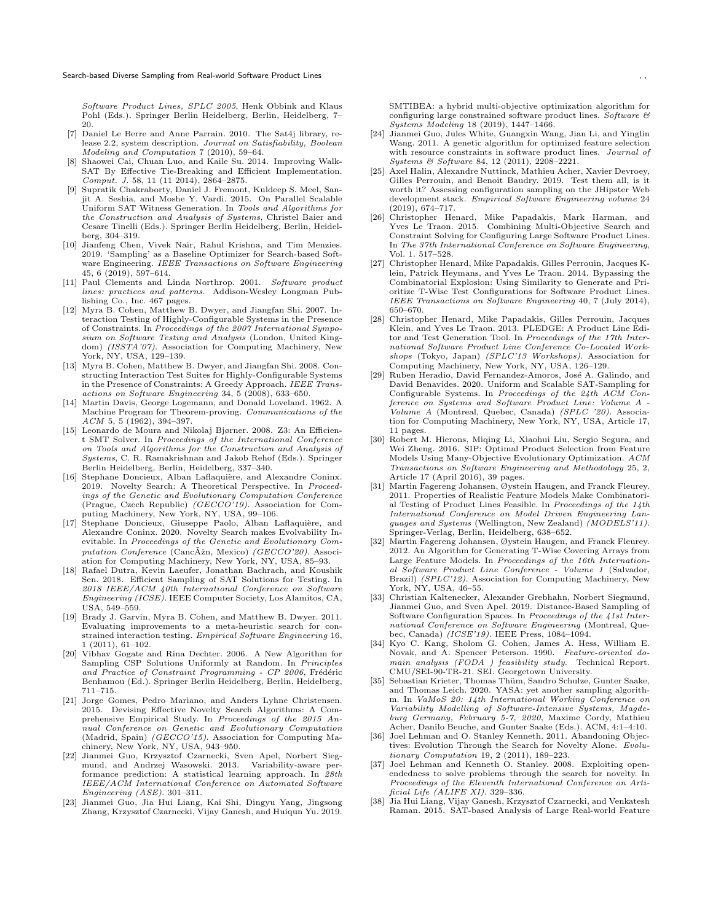- <span id="page-11-23"></span>[7] Daniel Le Berre and Anne Parrain. 2010. The Sat4j library, release 2.2, system description. *Journal on Satisfiability, Boolean Modeling and Computation* 7 (2010), 59–64.
- <span id="page-11-24"></span>[8] Shaowei Cai, Chuan Luo, and Kaile Su. 2014. Improving Walk-SAT By Effective Tie-Breaking and Efficient Implementation. *Comput. J.* 58, 11 (11 2014), 2864–2875.
- <span id="page-11-16"></span>[9] Supratik Chakraborty, Daniel J. Fremont, Kuldeep S. Meel, Sanjit A. Seshia, and Moshe Y. Vardi. 2015. On Parallel Scalable Uniform SAT Witness Generation. In *Tools and Algorithms for the Construction and Analysis of Systems*, Christel Baier and Cesare Tinelli (Eds.). Springer Berlin Heidelberg, Berlin, Heidelberg, 304–319.
- <span id="page-11-13"></span>[10] Jianfeng Chen, Vivek Nair, Rahul Krishna, and Tim Menzies. 2019. 'Sampling' as a Baseline Optimizer for Search-based Software Engineering. *IEEE Transactions on Software Engineering* 45, 6 (2019), 597–614.
- <span id="page-11-0"></span>[11] Paul Clements and Linda Northrop. 2001. *Software product lines: practices and patterns*. Addison-Wesley Longman Publishing Co., Inc. 467 pages.
- <span id="page-11-29"></span>[12] Myra B. Cohen, Matthew B. Dwyer, and Jiangfan Shi. 2007. Interaction Testing of Highly-Configurable Systems in the Presence of Constraints. In *Proceedings of the 2007 International Symposium on Software Testing and Analysis* (London, United Kingdom) *(ISSTA'07)*. Association for Computing Machinery, New York, NY, USA, 129–139.
- <span id="page-11-7"></span>[13] Myra B. Cohen, Matthew B. Dwyer, and Jiangfan Shi. 2008. Constructing Interaction Test Suites for Highly-Configurable Systems in the Presence of Constraints: A Greedy Approach. *IEEE Transactions on Software Engineering* 34, 5 (2008), 633–650.
- <span id="page-11-25"></span>[14] Martin Davis, George Logemann, and Donald Loveland. 1962. A Machine Program for Theorem-proving. *Communications of the ACM* 5, 5 (1962), 394–397.
- <span id="page-11-28"></span>[15] Leonardo de Moura and Nikolaj Bjørner. 2008. Z3: An Efficient SMT Solver. In *Proceedings of the International Conference on Tools and Algorithms for the Construction and Analysis of Systems*, C. R. Ramakrishnan and Jakob Rehof (Eds.). Springer Berlin Heidelberg, Berlin, Heidelberg, 337–340.
- <span id="page-11-20"></span>[16] Stephane Doncieux, Alban Laflaquière, and Alexandre Coninx. 2019. Novelty Search: A Theoretical Perspective. In *Proceedings of the Genetic and Evolutionary Computation Conference* (Prague, Czech Republic) *(GECCO'19)*. Association for Computing Machinery, New York, NY, USA, 99–106.
- <span id="page-11-21"></span>[17] Stephane Doncieux, Giuseppe Paolo, Alban Laflaquière, and Alexandre Coninx. 2020. Novelty Search makes Evolvability Inevitable. In *Proceedings of the Genetic and Evolutionary Computation Conference* (CancAˇzn, Mexico) ˜ *(GECCO'20)*. Association for Computing Machinery, New York, NY, USA, 85–93.
- <span id="page-11-14"></span>[18] Rafael Dutra, Kevin Laeufer, Jonathan Bachrach, and Koushik Sen. 2018. Efficient Sampling of SAT Solutions for Testing. In *2018 IEEE/ACM 40th International Conference on Software Engineering (ICSE)*. IEEE Computer Society, Los Alamitos, CA, USA, 549–559.
- <span id="page-11-9"></span>[19] Brady J. Garvin, Myra B. Cohen, and Matthew B. Dwyer. 2011. Evaluating improvements to a meta-heuristic search for constrained interaction testing. *Empirical Software Engineering* 16, 1 (2011), 61–102.
- <span id="page-11-11"></span>[20] Vibhav Gogate and Rina Dechter. 2006. A New Algorithm for Sampling CSP Solutions Uniformly at Random. In *Principles* and Practice of Constraint Programming - CP 2006, Frédéric Benhamou (Ed.). Springer Berlin Heidelberg, Berlin, Heidelberg, 711–715.
- <span id="page-11-27"></span>[21] Jorge Gomes, Pedro Mariano, and Anders Lyhne Christensen. 2015. Devising Effective Novelty Search Algorithms: A Comprehensive Empirical Study. In *Proceedings of the 2015 Annual Conference on Genetic and Evolutionary Computation* (Madrid, Spain) *(GECCO'15)*. Association for Computing Machinery, New York, NY, USA, 943–950.
- <span id="page-11-12"></span>[22] Jianmei Guo, Krzysztof Czarnecki, Sven Apel, Norbert Siegmund, and Andrzej Wasowski. 2013. Variability-aware performance prediction: A statistical learning approach. In *28th IEEE/ACM International Conference on Automated Software Engineering (ASE)*. 301–311.
- <span id="page-11-2"></span>[23] Jianmei Guo, Jia Hui Liang, Kai Shi, Dingyu Yang, Jingsong Zhang, Krzysztof Czarnecki, Vijay Ganesh, and Huiqun Yu. 2019.

SMTIBEA: a hybrid multi-objective optimization algorithm for configuring large constrained software product lines. *Software & Systems Modeling* 18 (2019), 1447–1466.

- <span id="page-11-3"></span>[24] Jianmei Guo, Jules White, Guangxin Wang, Jian Li, and Yinglin Wang. 2011. A genetic algorithm for optimized feature selection with resource constraints in software product lines. *Journal of Systems & Software* 84, 12 (2011), 2208–2221.
- <span id="page-11-8"></span>[25] Axel Halin, Alexandre Nuttinck, Mathieu Acher, Xavier Devroey, Gilles Perrouin, and Benoit Baudry. 2019. Test them all, is it worth it? Assessing configuration sampling on the JHipster Web development stack. *Empirical Software Engineering volume* 24 (2019), 674–717.
- <span id="page-11-4"></span>[26] Christopher Henard, Mike Papadakis, Mark Harman, and Yves Le Traon. 2015. Combining Multi-Objective Search and Constraint Solving for Configuring Large Software Product Lines. In *The 37th International Conference on Software Engineering*, Vol. 1. 517–528.
- <span id="page-11-17"></span>[27] Christopher Henard, Mike Papadakis, Gilles Perrouin, Jacques Klein, Patrick Heymans, and Yves Le Traon. 2014. Bypassing the Combinatorial Explosion: Using Similarity to Generate and Prioritize T-Wise Test Configurations for Software Product Lines. *IEEE Transactions on Software Engineering* 40, 7 (July 2014), 650–670.
- <span id="page-11-15"></span>[28] Christopher Henard, Mike Papadakis, Gilles Perrouin, Jacques Klein, and Yves Le Traon. 2013. PLEDGE: A Product Line Editor and Test Generation Tool. In *Proceedings of the 17th International Software Product Line Conference Co-Located Workshops* (Tokyo, Japan) *(SPLC'13 Workshops)*. Association for Computing Machinery, New York, NY, USA, 126–129.
- <span id="page-11-26"></span>[29] Ruben Heradio, David Fernandez-Amoros, José A. Galindo, and David Benavides. 2020. Uniform and Scalable SAT-Sampling for Configurable Systems. In *Proceedings of the 24th ACM Conference on Systems and Software Product Line: Volume A - Volume A* (Montreal, Quebec, Canada) *(SPLC '20)*. Associa-tion for Computing Machinery, New York, NY, USA, Article 17, 11 pages.
- <span id="page-11-5"></span>[30] Robert M. Hierons, Miqing Li, Xiaohui Liu, Sergio Segura, and Wei Zheng. 2016. SIP: Optimal Product Selection from Feature Models Using Many-Objective Evolutionary Optimization. *ACM Transactions on Software Engineering and Methodology* 25, 2, Article 17 (April 2016), 39 pages.
- <span id="page-11-30"></span>[31] Martin Fagereng Johansen, Øystein Haugen, and Franck Fleurey. 2011. Properties of Realistic Feature Models Make Combinatorial Testing of Product Lines Feasible. In *Proceedings of the 14th International Conference on Model Driven Engineering Languages and Systems* (Wellington, New Zealand) *(MODELS'11)*. Springer-Verlag, Berlin, Heidelberg, 638–652.
- <span id="page-11-10"></span>[32] Martin Fagereng Johansen, Øystein Haugen, and Franck Fleurey. 2012. An Algorithm for Generating T-Wise Covering Arrays from Large Feature Models. In *Proceedings of the 16th International Software Product Line Conference - Volume 1* (Salvador, Brazil) *(SPLC'12)*. Association for Computing Machinery, New York, NY, USA, 46–55.
- <span id="page-11-6"></span>[33] Christian Kaltenecker, Alexander Grebhahn, Norbert Siegmund, Jianmei Guo, and Sven Apel. 2019. Distance-Based Sampling of Software Configuration Spaces. In *Proceedings of the 41st International Conference on Software Engineering* (Montreal, Quebec, Canada) *(ICSE'19)*. IEEE Press, 1084–1094.
- <span id="page-11-1"></span>[34] Kyo C. Kang, Sholom G. Cohen, James A. Hess, William E. Novak, and A. Spencer Peterson. 1990. *Feature-oriented domain analysis (FODA ) feasibility study*. Technical Report. CMU/SEI-90-TR-21. SEI. Georgetown University.
- <span id="page-11-31"></span>[35] Sebastian Krieter, Thomas Thüm, Sandro Schulze, Gunter Saake, and Thomas Leich. 2020. YASA: yet another sampling algorithm. In *VaMoS 20: 14th International Working Conference on Variability Modelling of Software-Intensive Systems, Magdeburg Germany, February 5-7, 2020*, Maxime Cordy, Mathieu Acher, Danilo Beuche, and Gunter Saake (Eds.). ACM, 4:1–4:10.
- <span id="page-11-18"></span>[36] Joel Lehman and O. Stanley Kenneth. 2011. Abandoning Objectives: Evolution Through the Search for Novelty Alone. *Evolutionary Computation* 19, 2 (2011), 189–223.
- <span id="page-11-19"></span>[37] Joel Lehman and Kenneth O. Stanley. 2008. Exploiting openendedness to solve problems through the search for novelty. In *Proceedings of the Eleventh International Conference on Artificial Life (ALIFE XI)*. 329–336.
- <span id="page-11-22"></span>[38] Jia Hui Liang, Vijay Ganesh, Krzysztof Czarnecki, and Venkatesh Raman. 2015. SAT-based Analysis of Large Real-world Feature